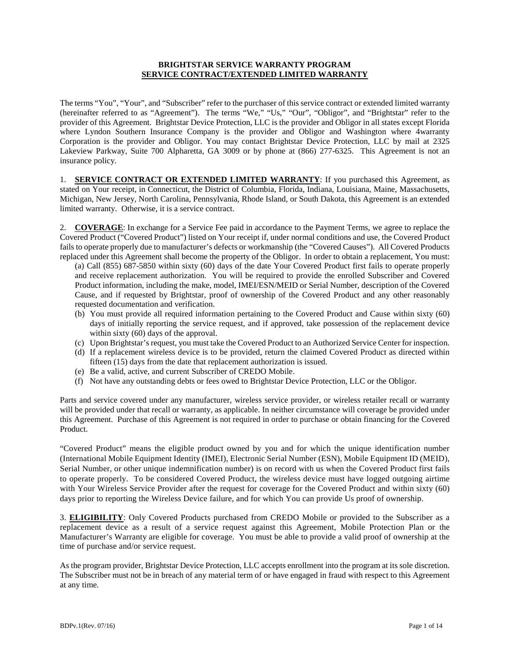### **BRIGHTSTAR SERVICE WARRANTY PROGRAM SERVICE CONTRACT/EXTENDED LIMITED WARRANTY**

The terms "You", "Your", and "Subscriber" refer to the purchaser of this service contract or extended limited warranty (hereinafter referred to as "Agreement"). The terms "We," "Us," "Our", "Obligor", and "Brightstar" refer to the provider of this Agreement. Brightstar Device Protection, LLC is the provider and Obligor in all states except Florida where Lyndon Southern Insurance Company is the provider and Obligor and Washington where 4warranty Corporation is the provider and Obligor. You may contact Brightstar Device Protection, LLC by mail at 2325 Lakeview Parkway, Suite 700 Alpharetta, GA 3009 or by phone at (866) 277-6325. This Agreement is not an insurance policy.

1. **SERVICE CONTRACT OR EXTENDED LIMITED WARRANTY**: If you purchased this Agreement, as stated on Your receipt, in Connecticut, the District of Columbia, Florida, Indiana, Louisiana, Maine, Massachusetts, Michigan, New Jersey, North Carolina, Pennsylvania, Rhode Island, or South Dakota, this Agreement is an extended limited warranty. Otherwise, it is a service contract.

2. **COVERAGE**: In exchange for a Service Fee paid in accordance to the Payment Terms, we agree to replace the Covered Product ("Covered Product") listed on Your receipt if, under normal conditions and use, the Covered Product fails to operate properly due to manufacturer's defects or workmanship (the "Covered Causes"). All Covered Products replaced under this Agreement shall become the property of the Obligor. In order to obtain a replacement, You must:

(a) Call (855) 687-5850 within sixty (60) days of the date Your Covered Product first fails to operate properly and receive replacement authorization. You will be required to provide the enrolled Subscriber and Covered Product information, including the make, model, IMEI/ESN/MEID or Serial Number, description of the Covered Cause, and if requested by Brightstar, proof of ownership of the Covered Product and any other reasonably requested documentation and verification.

- (b) You must provide all required information pertaining to the Covered Product and Cause within sixty (60) days of initially reporting the service request, and if approved, take possession of the replacement device within sixty (60) days of the approval.
- (c) Upon Brightstar's request, you must take the Covered Product to an Authorized Service Center for inspection.
- (d) If a replacement wireless device is to be provided, return the claimed Covered Product as directed within fifteen (15) days from the date that replacement authorization is issued.
- (e) Be a valid, active, and current Subscriber of CREDO Mobile.
- (f) Not have any outstanding debts or fees owed to Brightstar Device Protection, LLC or the Obligor.

Parts and service covered under any manufacturer, wireless service provider, or wireless retailer recall or warranty will be provided under that recall or warranty, as applicable. In neither circumstance will coverage be provided under this Agreement. Purchase of this Agreement is not required in order to purchase or obtain financing for the Covered Product.

"Covered Product" means the eligible product owned by you and for which the unique identification number (International Mobile Equipment Identity (IMEI), Electronic Serial Number (ESN), Mobile Equipment ID (MEID), Serial Number, or other unique indemnification number) is on record with us when the Covered Product first fails to operate properly. To be considered Covered Product, the wireless device must have logged outgoing airtime with Your Wireless Service Provider after the request for coverage for the Covered Product and within sixty (60) days prior to reporting the Wireless Device failure, and for which You can provide Us proof of ownership.

3. **ELIGIBILITY**: Only Covered Products purchased from CREDO Mobile or provided to the Subscriber as a replacement device as a result of a service request against this Agreement, Mobile Protection Plan or the Manufacturer's Warranty are eligible for coverage. You must be able to provide a valid proof of ownership at the time of purchase and/or service request.

As the program provider, Brightstar Device Protection, LLC accepts enrollment into the program at its sole discretion. The Subscriber must not be in breach of any material term of or have engaged in fraud with respect to this Agreement at any time.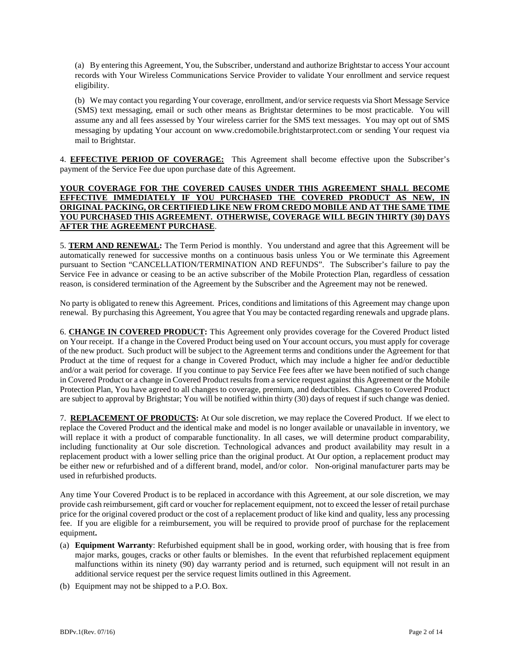(a) By entering this Agreement, You, the Subscriber, understand and authorize Brightstar to access Your account records with Your Wireless Communications Service Provider to validate Your enrollment and service request eligibility.

(b) We may contact you regarding Your coverage, enrollment, and/or service requests via Short Message Service (SMS) text messaging, email or such other means as Brightstar determines to be most practicable. You will assume any and all fees assessed by Your wireless carrier for the SMS text messages. You may opt out of SMS messaging by updating Your account on [www.credomobile.brightstarprotect.com](http://www.credomobile.brightstarprotect.com/) or sending Your request via mail to Brightstar.

4. **EFFECTIVE PERIOD OF COVERAGE:** This Agreement shall become effective upon the Subscriber's payment of the Service Fee due upon purchase date of this Agreement.

## **YOUR COVERAGE FOR THE COVERED CAUSES UNDER THIS AGREEMENT SHALL BECOME EFFECTIVE IMMEDIATELY IF YOU PURCHASED THE COVERED PRODUCT AS NEW, IN ORIGINAL PACKING, OR CERTIFIED LIKE NEW FROM CREDO MOBILE AND AT THE SAME TIME YOU PURCHASED THIS AGREEMENT. OTHERWISE, COVERAGE WILL BEGIN THIRTY (30) DAYS AFTER THE AGREEMENT PURCHASE**.

5. **TERM AND RENEWAL:** The Term Period is monthly. You understand and agree that this Agreement will be automatically renewed for successive months on a continuous basis unless You or We terminate this Agreement pursuant to Section "CANCELLATION/TERMINATION AND REFUNDS". The Subscriber's failure to pay the Service Fee in advance or ceasing to be an active subscriber of the Mobile Protection Plan, regardless of cessation reason, is considered termination of the Agreement by the Subscriber and the Agreement may not be renewed.

No party is obligated to renew this Agreement. Prices, conditions and limitations of this Agreement may change upon renewal. By purchasing this Agreement, You agree that You may be contacted regarding renewals and upgrade plans.

6. **CHANGE IN COVERED PRODUCT:** This Agreement only provides coverage for the Covered Product listed on Your receipt. If a change in the Covered Product being used on Your account occurs, you must apply for coverage of the new product. Such product will be subject to the Agreement terms and conditions under the Agreement for that Product at the time of request for a change in Covered Product, which may include a higher fee and/or deductible and/or a wait period for coverage. If you continue to pay Service Fee fees after we have been notified of such change in Covered Product or a change in Covered Product results from a service request against this Agreement or the Mobile Protection Plan, You have agreed to all changes to coverage, premium, and deductibles. Changes to Covered Product are subject to approval by Brightstar; You will be notified within thirty (30) days of request if such change was denied.

7. **REPLACEMENT OF PRODUCTS:** At Our sole discretion, we may replace the Covered Product. If we elect to replace the Covered Product and the identical make and model is no longer available or unavailable in inventory, we will replace it with a product of comparable functionality. In all cases, we will determine product comparability, including functionality at Our sole discretion. Technological advances and product availability may result in a replacement product with a lower selling price than the original product. At Our option, a replacement product may be either new or refurbished and of a different brand, model, and/or color. Non-original manufacturer parts may be used in refurbished products.

Any time Your Covered Product is to be replaced in accordance with this Agreement, at our sole discretion, we may provide cash reimbursement, gift card or voucher for replacement equipment, not to exceed the lesser of retail purchase price for the original covered product or the cost of a replacement product of like kind and quality, less any processing fee. If you are eligible for a reimbursement, you will be required to provide proof of purchase for the replacement equipment**.**

- (a) **Equipment Warranty**: Refurbished equipment shall be in good, working order, with housing that is free from major marks, gouges, cracks or other faults or blemishes. In the event that refurbished replacement equipment malfunctions within its ninety (90) day warranty period and is returned, such equipment will not result in an additional service request per the service request limits outlined in this Agreement.
- (b) Equipment may not be shipped to a P.O. Box.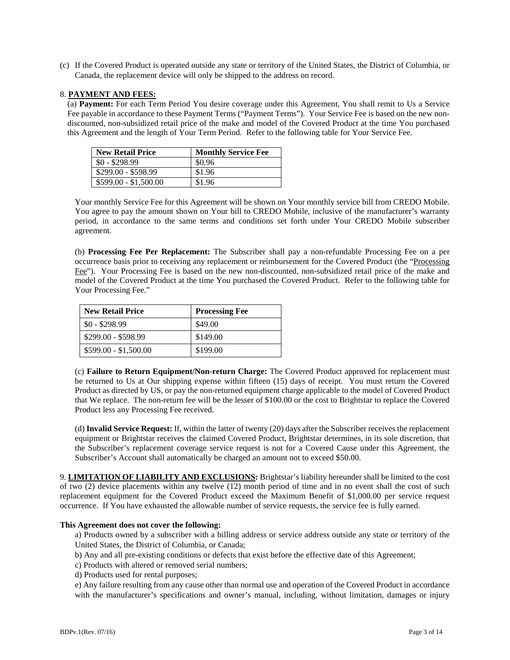(c) If the Covered Product is operated outside any state or territory of the United States, the District of Columbia, or Canada, the replacement device will only be shipped to the address on record.

#### 8. **PAYMENT AND FEES:**

(a) **Payment:** For each Term Period You desire coverage under this Agreement, You shall remit to Us a Service Fee payable in accordance to these Payment Terms ("Payment Terms"). Your Service Fee is based on the new nondiscounted, non-subsidized retail price of the make and model of the Covered Product at the time You purchased this Agreement and the length of Your Term Period. Refer to the following table for Your Service Fee.

| <b>New Retail Price</b> | <b>Monthly Service Fee</b> |
|-------------------------|----------------------------|
| $$0 - $298.99$          | \$0.96                     |
| \$299.00 - \$598.99     | \$1.96                     |
| $$599.00 - $1,500.00$   | \$1.96                     |

Your monthly Service Fee for this Agreement will be shown on Your monthly service bill from CREDO Mobile. You agree to pay the amount shown on Your bill to CREDO Mobile, inclusive of the manufacturer's warranty period, in accordance to the same terms and conditions set forth under Your CREDO Mobile subscriber agreement.

(b) **Processing Fee Per Replacement:** The Subscriber shall pay a non-refundable Processing Fee on a per occurrence basis prior to receiving any replacement or reimbursement for the Covered Product (the "Processing Fee"). Your Processing Fee is based on the new non-discounted, non-subsidized retail price of the make and model of the Covered Product at the time You purchased the Covered Product. Refer to the following table for Your Processing Fee."

| <b>New Retail Price</b> | <b>Processing Fee</b> |
|-------------------------|-----------------------|
| $$0 - $298.99$          | \$49.00               |
| \$299.00 - \$598.99     | \$149.00              |
| $$599.00 - $1,500.00$   | \$199.00              |

(c) **Failure to Return Equipment/Non-return Charge:** The Covered Product approved for replacement must be returned to Us at Our shipping expense within fifteen (15) days of receipt. You must return the Covered Product as directed by US, or pay the non-returned equipment charge applicable to the model of Covered Product that We replace. The non-return fee will be the lesser of \$100.00 or the cost to Brightstar to replace the Covered Product less any Processing Fee received.

(d) **Invalid Service Request:** If, within the latter of twenty (20) days after the Subscriber receives the replacement equipment or Brightstar receives the claimed Covered Product, Brightstar determines, in its sole discretion, that the Subscriber's replacement coverage service request is not for a Covered Cause under this Agreement, the Subscriber's Account shall automatically be charged an amount not to exceed \$50.00.

9. **LIMITATION OF LIABILITY AND EXCLUSIONS:** Brightstar's liability hereunder shall be limited to the cost of two (2) device placements within any twelve (12) month period of time and in no event shall the cost of such replacement equipment for the Covered Product exceed the Maximum Benefit of \$1,000.00 per service request occurrence. If You have exhausted the allowable number of service requests, the service fee is fully earned.

#### **This Agreement does not cover the following:**

a) Products owned by a subscriber with a billing address or service address outside any state or territory of the United States, the District of Columbia, or Canada;

- b) Any and all pre-existing conditions or defects that exist before the effective date of this Agreement;
- c) Products with altered or removed serial numbers;
- d) Products used for rental purposes;

e) Any failure resulting from any cause other than normal use and operation of the Covered Product in accordance with the manufacturer's specifications and owner's manual, including, without limitation, damages or injury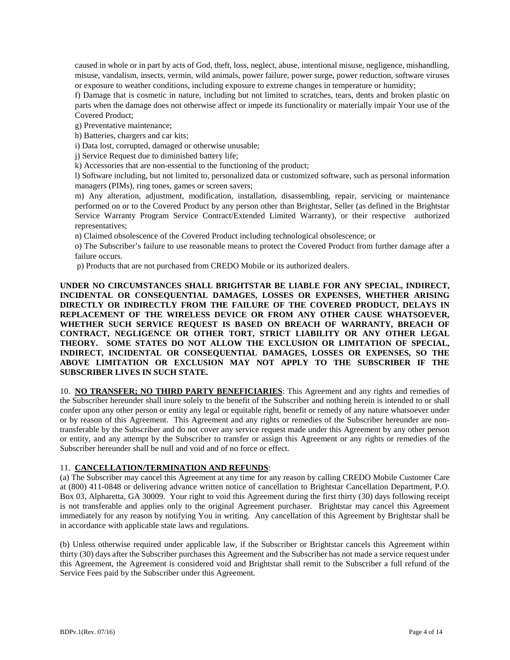caused in whole or in part by acts of God, theft, loss, neglect, abuse, intentional misuse, negligence, mishandling, misuse, vandalism, insects, vermin, wild animals, power failure, power surge, power reduction, software viruses or exposure to weather conditions, including exposure to extreme changes in temperature or humidity;

f) Damage that is cosmetic in nature, including but not limited to scratches, tears, dents and broken plastic on parts when the damage does not otherwise affect or impede its functionality or materially impair Your use of the Covered Product;

g) Preventative maintenance;

h) Batteries, chargers and car kits;

i) Data lost, corrupted, damaged or otherwise unusable;

j) Service Request due to diminished battery life;

k) Accessories that are non-essential to the functioning of the product;

l) Software including, but not limited to, personalized data or customized software, such as personal information managers (PIMs), ring tones, games or screen savers;

m) Any alteration, adjustment, modification, installation, disassembling, repair, servicing or maintenance performed on or to the Covered Product by any person other than Brightstar, Seller (as defined in the Brightstar Service Warranty Program Service Contract/Extended Limited Warranty), or their respective authorized representatives;

n) Claimed obsolescence of the Covered Product including technological obsolescence; or

o) The Subscriber's failure to use reasonable means to protect the Covered Product from further damage after a failure occurs.

p) Products that are not purchased from CREDO Mobile or its authorized dealers.

**UNDER NO CIRCUMSTANCES SHALL BRIGHTSTAR BE LIABLE FOR ANY SPECIAL, INDIRECT, INCIDENTAL OR CONSEQUENTIAL DAMAGES, LOSSES OR EXPENSES, WHETHER ARISING DIRECTLY OR INDIRECTLY FROM THE FAILURE OF THE COVERED PRODUCT, DELAYS IN REPLACEMENT OF THE WIRELESS DEVICE OR FROM ANY OTHER CAUSE WHATSOEVER, WHETHER SUCH SERVICE REQUEST IS BASED ON BREACH OF WARRANTY, BREACH OF CONTRACT, NEGLIGENCE OR OTHER TORT, STRICT LIABILITY OR ANY OTHER LEGAL THEORY. SOME STATES DO NOT ALLOW THE EXCLUSION OR LIMITATION OF SPECIAL, INDIRECT, INCIDENTAL OR CONSEQUENTIAL DAMAGES, LOSSES OR EXPENSES, SO THE ABOVE LIMITATION OR EXCLUSION MAY NOT APPLY TO THE SUBSCRIBER IF THE SUBSCRIBER LIVES IN SUCH STATE.**

10. **NO TRANSFER; NO THIRD PARTY BENEFICIARIES**: This Agreement and any rights and remedies of the Subscriber hereunder shall inure solely to the benefit of the Subscriber and nothing herein is intended to or shall confer upon any other person or entity any legal or equitable right, benefit or remedy of any nature whatsoever under or by reason of this Agreement. This Agreement and any rights or remedies of the Subscriber hereunder are nontransferable by the Subscriber and do not cover any service request made under this Agreement by any other person or entity, and any attempt by the Subscriber to transfer or assign this Agreement or any rights or remedies of the Subscriber hereunder shall be null and void and of no force or effect.

### 11. **CANCELLATION/TERMINATION AND REFUNDS**:

(a) The Subscriber may cancel this Agreement at any time for any reason by calling CREDO Mobile Customer Care at (800) 411-0848 or delivering advance written notice of cancellation to Brightstar Cancellation Department, P.O. Box 03, Alpharetta, GA 30009. Your right to void this Agreement during the first thirty (30) days following receipt is not transferable and applies only to the original Agreement purchaser. Brightstar may cancel this Agreement immediately for any reason by notifying You in writing. Any cancellation of this Agreement by Brightstar shall be in accordance with applicable state laws and regulations.

(b) Unless otherwise required under applicable law, if the Subscriber or Brightstar cancels this Agreement within thirty (30) days after the Subscriber purchases this Agreement and the Subscriber has not made a service request under this Agreement, the Agreement is considered void and Brightstar shall remit to the Subscriber a full refund of the Service Fees paid by the Subscriber under this Agreement.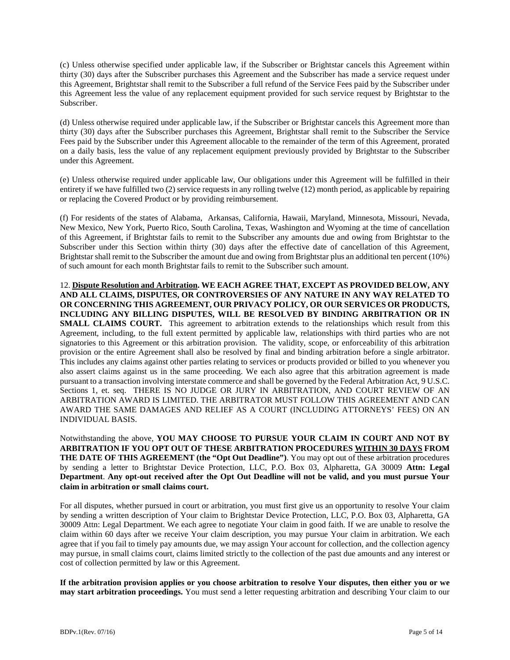(c) Unless otherwise specified under applicable law, if the Subscriber or Brightstar cancels this Agreement within thirty (30) days after the Subscriber purchases this Agreement and the Subscriber has made a service request under this Agreement, Brightstar shall remit to the Subscriber a full refund of the Service Fees paid by the Subscriber under this Agreement less the value of any replacement equipment provided for such service request by Brightstar to the Subscriber.

(d) Unless otherwise required under applicable law, if the Subscriber or Brightstar cancels this Agreement more than thirty (30) days after the Subscriber purchases this Agreement, Brightstar shall remit to the Subscriber the Service Fees paid by the Subscriber under this Agreement allocable to the remainder of the term of this Agreement, prorated on a daily basis, less the value of any replacement equipment previously provided by Brightstar to the Subscriber under this Agreement.

(e) Unless otherwise required under applicable law, Our obligations under this Agreement will be fulfilled in their entirety if we have fulfilled two (2) service requests in any rolling twelve (12) month period, as applicable by repairing or replacing the Covered Product or by providing reimbursement.

(f) For residents of the states of Alabama, Arkansas, California, Hawaii, Maryland, Minnesota, Missouri, Nevada, New Mexico, New York, Puerto Rico, South Carolina, Texas, Washington and Wyoming at the time of cancellation of this Agreement, if Brightstar fails to remit to the Subscriber any amounts due and owing from Brightstar to the Subscriber under this Section within thirty (30) days after the effective date of cancellation of this Agreement, Brightstar shall remit to the Subscriber the amount due and owing from Brightstar plus an additional ten percent (10%) of such amount for each month Brightstar fails to remit to the Subscriber such amount.

12. **Dispute Resolution and Arbitration. WE EACH AGREE THAT, EXCEPT AS PROVIDED BELOW, ANY AND ALL CLAIMS, DISPUTES, OR CONTROVERSIES OF ANY NATURE IN ANY WAY RELATED TO OR CONCERNING THIS AGREEMENT, OUR PRIVACY POLICY, OR OUR SERVICES OR PRODUCTS, INCLUDING ANY BILLING DISPUTES, WILL BE RESOLVED BY BINDING ARBITRATION OR IN SMALL CLAIMS COURT.** This agreement to arbitration extends to the relationships which result from this Agreement, including, to the full extent permitted by applicable law, relationships with third parties who are not signatories to this Agreement or this arbitration provision. The validity, scope, or enforceability of this arbitration provision or the entire Agreement shall also be resolved by final and binding arbitration before a single arbitrator. This includes any claims against other parties relating to services or products provided or billed to you whenever you also assert claims against us in the same proceeding. We each also agree that this arbitration agreement is made pursuant to a transaction involving interstate commerce and shall be governed by the Federal Arbitration Act, 9 U.S.C. Sections 1, et. seq. THERE IS NO JUDGE OR JURY IN ARBITRATION, AND COURT REVIEW OF AN ARBITRATION AWARD IS LIMITED. THE ARBITRATOR MUST FOLLOW THIS AGREEMENT AND CAN AWARD THE SAME DAMAGES AND RELIEF AS A COURT (INCLUDING ATTORNEYS' FEES) ON AN INDIVIDUAL BASIS.

Notwithstanding the above, **YOU MAY CHOOSE TO PURSUE YOUR CLAIM IN COURT AND NOT BY ARBITRATION IF YOU OPT OUT OF THESE ARBITRATION PROCEDURES WITHIN 30 DAYS FROM THE DATE OF THIS AGREEMENT (the "Opt Out Deadline")**. You may opt out of these arbitration procedures by sending a letter to Brightstar Device Protection, LLC, P.O. Box 03, Alpharetta, GA 30009 **Attn: Legal Department**. **Any opt-out received after the Opt Out Deadline will not be valid, and you must pursue Your claim in arbitration or small claims court.**

For all disputes, whether pursued in court or arbitration, you must first give us an opportunity to resolve Your claim by sending a written description of Your claim to Brightstar Device Protection, LLC, P.O. Box 03, Alpharetta, GA 30009 Attn: Legal Department. We each agree to negotiate Your claim in good faith. If we are unable to resolve the claim within 60 days after we receive Your claim description, you may pursue Your claim in arbitration. We each agree that if you fail to timely pay amounts due, we may assign Your account for collection, and the collection agency may pursue, in small claims court, claims limited strictly to the collection of the past due amounts and any interest or cost of collection permitted by law or this Agreement.

**If the arbitration provision applies or you choose arbitration to resolve Your disputes, then either you or we may start arbitration proceedings.** You must send a letter requesting arbitration and describing Your claim to our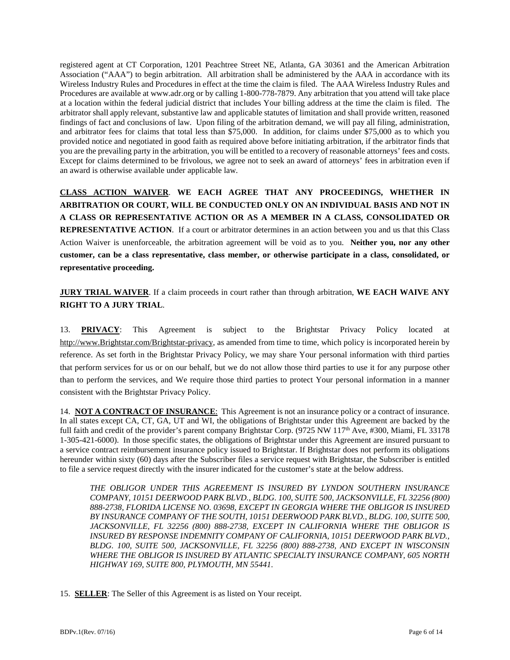registered agent at CT Corporation, 1201 Peachtree Street NE, Atlanta, GA 30361 and the American Arbitration Association ("AAA") to begin arbitration. All arbitration shall be administered by the AAA in accordance with its Wireless Industry Rules and Procedures in effect at the time the claim is filed. The AAA Wireless Industry Rules and Procedures are available at www.adr.org or by calling 1-800-778-7879. Any arbitration that you attend will take place at a location within the federal judicial district that includes Your billing address at the time the claim is filed. The arbitrator shall apply relevant, substantive law and applicable statutes of limitation and shall provide written, reasoned findings of fact and conclusions of law. Upon filing of the arbitration demand, we will pay all filing, administration, and arbitrator fees for claims that total less than \$75,000. In addition, for claims under \$75,000 as to which you provided notice and negotiated in good faith as required above before initiating arbitration, if the arbitrator finds that you are the prevailing party in the arbitration, you will be entitled to a recovery of reasonable attorneys' fees and costs. Except for claims determined to be frivolous, we agree not to seek an award of attorneys' fees in arbitration even if an award is otherwise available under applicable law.

**CLASS ACTION WAIVER**. **WE EACH AGREE THAT ANY PROCEEDINGS, WHETHER IN ARBITRATION OR COURT, WILL BE CONDUCTED ONLY ON AN INDIVIDUAL BASIS AND NOT IN A CLASS OR REPRESENTATIVE ACTION OR AS A MEMBER IN A CLASS, CONSOLIDATED OR REPRESENTATIVE ACTION**. If a court or arbitrator determines in an action between you and us that this Class Action Waiver is unenforceable, the arbitration agreement will be void as to you. **Neither you, nor any other customer, can be a class representative, class member, or otherwise participate in a class, consolidated, or representative proceeding.**

**JURY TRIAL WAIVER**. If a claim proceeds in court rather than through arbitration, **WE EACH WAIVE ANY RIGHT TO A JURY TRIAL**.

13. **PRIVACY**: This Agreement is subject to the Brightstar Privacy Policy located at [http://www.Brightstar.com/Brightstar-privacy,](http://www.esecuritel.com/esecuritel-privacy) as amended from time to time, which policy is incorporated herein by reference. As set forth in the Brightstar Privacy Policy, we may share Your personal information with third parties that perform services for us or on our behalf, but we do not allow those third parties to use it for any purpose other than to perform the services, and We require those third parties to protect Your personal information in a manner consistent with the Brightstar Privacy Policy.

14. **NOT A CONTRACT OF INSURANCE**: This Agreement is not an insurance policy or a contract of insurance. In all states except CA, CT, GA, UT and WI, the obligations of Brightstar under this Agreement are backed by the full faith and credit of the provider's parent company Brightstar Corp. (9725 NW 117<sup>th</sup> Ave, #300, Miami, FL 33178 1-305-421-6000). In those specific states, the obligations of Brightstar under this Agreement are insured pursuant to a service contract reimbursement insurance policy issued to Brightstar. If Brightstar does not perform its obligations hereunder within sixty (60) days after the Subscriber files a service request with Brightstar, the Subscriber is entitled to file a service request directly with the insurer indicated for the customer's state at the below address.

*THE OBLIGOR UNDER THIS AGREEMENT IS INSURED BY LYNDON SOUTHERN INSURANCE COMPANY, 10151 DEERWOOD PARK BLVD., BLDG. 100, SUITE 500, JACKSONVILLE, FL 32256 (800) 888-2738, FLORIDA LICENSE NO. 03698, EXCEPT IN GEORGIA WHERE THE OBLIGOR IS INSURED BY INSURANCE COMPANY OF THE SOUTH, 10151 DEERWOOD PARK BLVD., BLDG. 100, SUITE 500, JACKSONVILLE, FL 32256 (800) 888-2738, EXCEPT IN CALIFORNIA WHERE THE OBLIGOR IS INSURED BY RESPONSE INDEMNITY COMPANY OF CALIFORNIA, 10151 DEERWOOD PARK BLVD., BLDG. 100, SUITE 500, JACKSONVILLE, FL 32256 (800) 888-2738, AND EXCEPT IN WISCONSIN WHERE THE OBLIGOR IS INSURED BY ATLANTIC SPECIALTY INSURANCE COMPANY, 605 NORTH HIGHWAY 169, SUITE 800, PLYMOUTH, MN 55441.* 

15. **SELLER**: The Seller of this Agreement is as listed on Your receipt.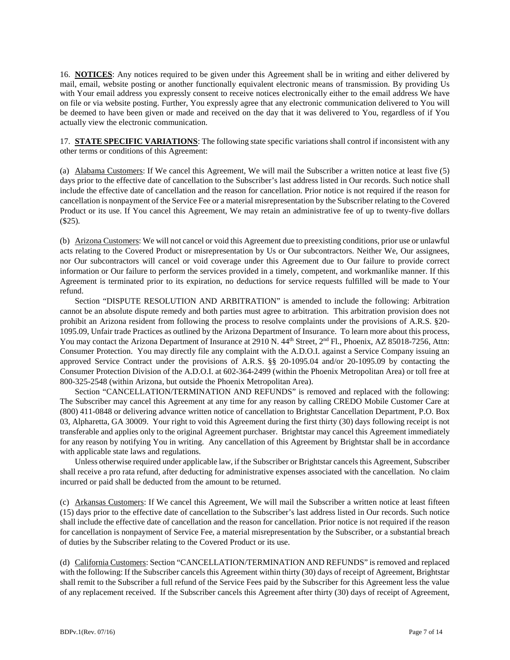16. **NOTICES**: Any notices required to be given under this Agreement shall be in writing and either delivered by mail, email, website posting or another functionally equivalent electronic means of transmission. By providing Us with Your email address you expressly consent to receive notices electronically either to the email address We have on file or via website posting. Further, You expressly agree that any electronic communication delivered to You will be deemed to have been given or made and received on the day that it was delivered to You, regardless of if You actually view the electronic communication.

17. **STATE SPECIFIC VARIATIONS**: The following state specific variations shall control if inconsistent with any other terms or conditions of this Agreement:

(a) Alabama Customers: If We cancel this Agreement, We will mail the Subscriber a written notice at least five (5) days prior to the effective date of cancellation to the Subscriber's last address listed in Our records. Such notice shall include the effective date of cancellation and the reason for cancellation. Prior notice is not required if the reason for cancellation is nonpayment of the Service Fee or a material misrepresentation by the Subscriber relating to the Covered Product or its use. If You cancel this Agreement, We may retain an administrative fee of up to twenty-five dollars (\$25).

(b) Arizona Customers: We will not cancel or void this Agreement due to preexisting conditions, prior use or unlawful acts relating to the Covered Product or misrepresentation by Us or Our subcontractors. Neither We, Our assignees, nor Our subcontractors will cancel or void coverage under this Agreement due to Our failure to provide correct information or Our failure to perform the services provided in a timely, competent, and workmanlike manner. If this Agreement is terminated prior to its expiration, no deductions for service requests fulfilled will be made to Your refund.

Section "DISPUTE RESOLUTION AND ARBITRATION" is amended to include the following: Arbitration cannot be an absolute dispute remedy and both parties must agree to arbitration. This arbitration provision does not prohibit an Arizona resident from following the process to resolve complaints under the provisions of A.R.S. §20- 1095.09, Unfair trade Practices as outlined by the Arizona Department of Insurance. To learn more about this process, You may contact the Arizona Department of Insurance at 2910 N. 44<sup>th</sup> Street, 2<sup>nd</sup> Fl., Phoenix, AZ 85018-7256, Attn: Consumer Protection. You may directly file any complaint with the A.D.O.I. against a Service Company issuing an approved Service Contract under the provisions of A.R.S. §§ 20-1095.04 and/or 20-1095.09 by contacting the Consumer Protection Division of the A.D.O.I. at 602-364-2499 (within the Phoenix Metropolitan Area) or toll free at 800-325-2548 (within Arizona, but outside the Phoenix Metropolitan Area).

Section "CANCELLATION/TERMINATION AND REFUNDS" is removed and replaced with the following: The Subscriber may cancel this Agreement at any time for any reason by calling CREDO Mobile Customer Care at (800) 411-0848 or delivering advance written notice of cancellation to Brightstar Cancellation Department, P.O. Box 03, Alpharetta, GA 30009. Your right to void this Agreement during the first thirty (30) days following receipt is not transferable and applies only to the original Agreement purchaser. Brightstar may cancel this Agreement immediately for any reason by notifying You in writing. Any cancellation of this Agreement by Brightstar shall be in accordance with applicable state laws and regulations.

Unless otherwise required under applicable law, if the Subscriber or Brightstar cancels this Agreement, Subscriber shall receive a pro rata refund, after deducting for administrative expenses associated with the cancellation. No claim incurred or paid shall be deducted from the amount to be returned.

(c) Arkansas Customers: If We cancel this Agreement, We will mail the Subscriber a written notice at least fifteen (15) days prior to the effective date of cancellation to the Subscriber's last address listed in Our records. Such notice shall include the effective date of cancellation and the reason for cancellation. Prior notice is not required if the reason for cancellation is nonpayment of Service Fee, a material misrepresentation by the Subscriber, or a substantial breach of duties by the Subscriber relating to the Covered Product or its use.

(d) California Customers: Section "CANCELLATION/TERMINATION AND REFUNDS" is removed and replaced with the following: If the Subscriber cancels this Agreement within thirty (30) days of receipt of Agreement, Brightstar shall remit to the Subscriber a full refund of the Service Fees paid by the Subscriber for this Agreement less the value of any replacement received. If the Subscriber cancels this Agreement after thirty (30) days of receipt of Agreement,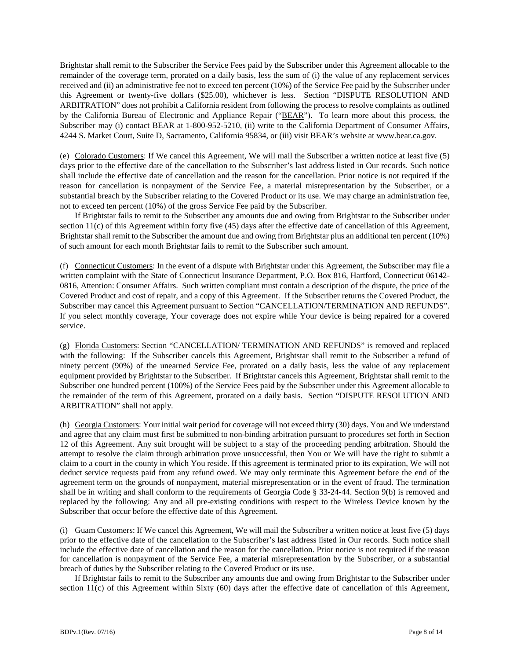Brightstar shall remit to the Subscriber the Service Fees paid by the Subscriber under this Agreement allocable to the remainder of the coverage term, prorated on a daily basis, less the sum of (i) the value of any replacement services received and (ii) an administrative fee not to exceed ten percent (10%) of the Service Fee paid by the Subscriber under this Agreement or twenty-five dollars (\$25.00), whichever is less. Section "DISPUTE RESOLUTION AND ARBITRATION" does not prohibit a California resident from following the process to resolve complaints as outlined by the California Bureau of Electronic and Appliance Repair ("BEAR"). To learn more about this process, the Subscriber may (i) contact BEAR at 1-800-952-5210, (ii) write to the California Department of Consumer Affairs, 4244 S. Market Court, Suite D, Sacramento, California 95834, or (iii) visit BEAR's website at [www.bear.ca.gov.](http://www.bear.ca.gov/)

(e) Colorado Customers: If We cancel this Agreement, We will mail the Subscriber a written notice at least five (5) days prior to the effective date of the cancellation to the Subscriber's last address listed in Our records. Such notice shall include the effective date of cancellation and the reason for the cancellation. Prior notice is not required if the reason for cancellation is nonpayment of the Service Fee, a material misrepresentation by the Subscriber, or a substantial breach by the Subscriber relating to the Covered Product or its use. We may charge an administration fee, not to exceed ten percent (10%) of the gross Service Fee paid by the Subscriber.

If Brightstar fails to remit to the Subscriber any amounts due and owing from Brightstar to the Subscriber under section 11(c) of this Agreement within forty five (45) days after the effective date of cancellation of this Agreement, Brightstar shall remit to the Subscriber the amount due and owing from Brightstar plus an additional ten percent (10%) of such amount for each month Brightstar fails to remit to the Subscriber such amount.

(f) Connecticut Customers: In the event of a dispute with Brightstar under this Agreement, the Subscriber may file a written complaint with the State of Connecticut Insurance Department, P.O. Box 816, Hartford, Connecticut 06142- 0816, Attention: Consumer Affairs. Such written compliant must contain a description of the dispute, the price of the Covered Product and cost of repair, and a copy of this Agreement. If the Subscriber returns the Covered Product, the Subscriber may cancel this Agreement pursuant to Section "CANCELLATION/TERMINATION AND REFUNDS". If you select monthly coverage, Your coverage does not expire while Your device is being repaired for a covered service.

(g) Florida Customers: Section "CANCELLATION/ TERMINATION AND REFUNDS" is removed and replaced with the following: If the Subscriber cancels this Agreement, Brightstar shall remit to the Subscriber a refund of ninety percent (90%) of the unearned Service Fee, prorated on a daily basis, less the value of any replacement equipment provided by Brightstar to the Subscriber. If Brightstar cancels this Agreement, Brightstar shall remit to the Subscriber one hundred percent (100%) of the Service Fees paid by the Subscriber under this Agreement allocable to the remainder of the term of this Agreement, prorated on a daily basis. Section "DISPUTE RESOLUTION AND ARBITRATION" shall not apply.

(h) Georgia Customers: Your initial wait period for coverage will not exceed thirty (30) days. You and We understand and agree that any claim must first be submitted to non-binding arbitration pursuant to procedures set forth in Section 12 of this Agreement. Any suit brought will be subject to a stay of the proceeding pending arbitration. Should the attempt to resolve the claim through arbitration prove unsuccessful, then You or We will have the right to submit a claim to a court in the county in which You reside. If this agreement is terminated prior to its expiration, We will not deduct service requests paid from any refund owed. We may only terminate this Agreement before the end of the agreement term on the grounds of nonpayment, material misrepresentation or in the event of fraud. The termination shall be in writing and shall conform to the requirements of Georgia Code § 33-24-44. Section 9(b) is removed and replaced by the following: Any and all pre-existing conditions with respect to the Wireless Device known by the Subscriber that occur before the effective date of this Agreement.

(i) Guam Customers: If We cancel this Agreement, We will mail the Subscriber a written notice at least five (5) days prior to the effective date of the cancellation to the Subscriber's last address listed in Our records. Such notice shall include the effective date of cancellation and the reason for the cancellation. Prior notice is not required if the reason for cancellation is nonpayment of the Service Fee, a material misrepresentation by the Subscriber, or a substantial breach of duties by the Subscriber relating to the Covered Product or its use.

If Brightstar fails to remit to the Subscriber any amounts due and owing from Brightstar to the Subscriber under section 11(c) of this Agreement within Sixty (60) days after the effective date of cancellation of this Agreement,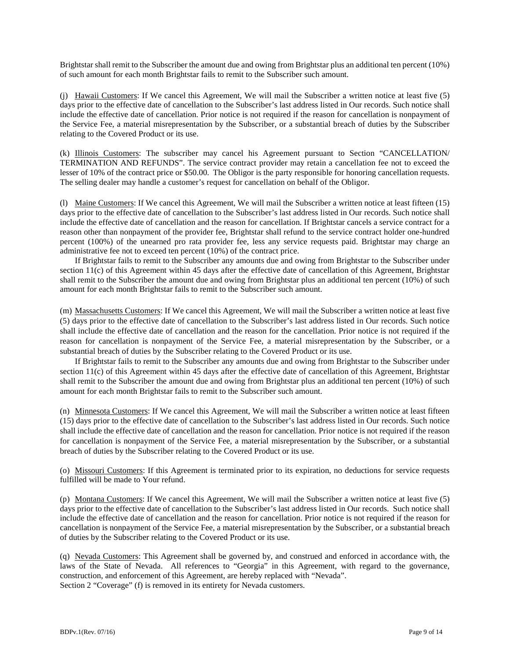Brightstar shall remit to the Subscriber the amount due and owing from Brightstar plus an additional ten percent (10%) of such amount for each month Brightstar fails to remit to the Subscriber such amount.

(j) Hawaii Customers: If We cancel this Agreement, We will mail the Subscriber a written notice at least five (5) days prior to the effective date of cancellation to the Subscriber's last address listed in Our records. Such notice shall include the effective date of cancellation. Prior notice is not required if the reason for cancellation is nonpayment of the Service Fee, a material misrepresentation by the Subscriber, or a substantial breach of duties by the Subscriber relating to the Covered Product or its use.

(k) Illinois Customers: The subscriber may cancel his Agreement pursuant to Section "CANCELLATION/ TERMINATION AND REFUNDS". The service contract provider may retain a cancellation fee not to exceed the lesser of 10% of the contract price or \$50.00. The Obligor is the party responsible for honoring cancellation requests. The selling dealer may handle a customer's request for cancellation on behalf of the Obligor.

(l) Maine Customers: If We cancel this Agreement, We will mail the Subscriber a written notice at least fifteen (15) days prior to the effective date of cancellation to the Subscriber's last address listed in Our records. Such notice shall include the effective date of cancellation and the reason for cancellation. If Brightstar cancels a service contract for a reason other than nonpayment of the provider fee, Brightstar shall refund to the service contract holder one-hundred percent (100%) of the unearned pro rata provider fee, less any service requests paid. Brightstar may charge an administrative fee not to exceed ten percent (10%) of the contract price.

If Brightstar fails to remit to the Subscriber any amounts due and owing from Brightstar to the Subscriber under section 11(c) of this Agreement within 45 days after the effective date of cancellation of this Agreement, Brightstar shall remit to the Subscriber the amount due and owing from Brightstar plus an additional ten percent (10%) of such amount for each month Brightstar fails to remit to the Subscriber such amount.

(m) Massachusetts Customers: If We cancel this Agreement, We will mail the Subscriber a written notice at least five (5) days prior to the effective date of cancellation to the Subscriber's last address listed in Our records. Such notice shall include the effective date of cancellation and the reason for the cancellation. Prior notice is not required if the reason for cancellation is nonpayment of the Service Fee, a material misrepresentation by the Subscriber, or a substantial breach of duties by the Subscriber relating to the Covered Product or its use.

If Brightstar fails to remit to the Subscriber any amounts due and owing from Brightstar to the Subscriber under section 11(c) of this Agreement within 45 days after the effective date of cancellation of this Agreement, Brightstar shall remit to the Subscriber the amount due and owing from Brightstar plus an additional ten percent (10%) of such amount for each month Brightstar fails to remit to the Subscriber such amount.

(n) Minnesota Customers: If We cancel this Agreement, We will mail the Subscriber a written notice at least fifteen (15) days prior to the effective date of cancellation to the Subscriber's last address listed in Our records. Such notice shall include the effective date of cancellation and the reason for cancellation. Prior notice is not required if the reason for cancellation is nonpayment of the Service Fee, a material misrepresentation by the Subscriber, or a substantial breach of duties by the Subscriber relating to the Covered Product or its use.

(o) Missouri Customers: If this Agreement is terminated prior to its expiration, no deductions for service requests fulfilled will be made to Your refund.

(p) Montana Customers: If We cancel this Agreement, We will mail the Subscriber a written notice at least five (5) days prior to the effective date of cancellation to the Subscriber's last address listed in Our records. Such notice shall include the effective date of cancellation and the reason for cancellation. Prior notice is not required if the reason for cancellation is nonpayment of the Service Fee, a material misrepresentation by the Subscriber, or a substantial breach of duties by the Subscriber relating to the Covered Product or its use.

(q) Nevada Customers: This Agreement shall be governed by, and construed and enforced in accordance with, the laws of the State of Nevada. All references to "Georgia" in this Agreement, with regard to the governance, construction, and enforcement of this Agreement, are hereby replaced with "Nevada". Section 2 "Coverage" (f) is removed in its entirety for Nevada customers.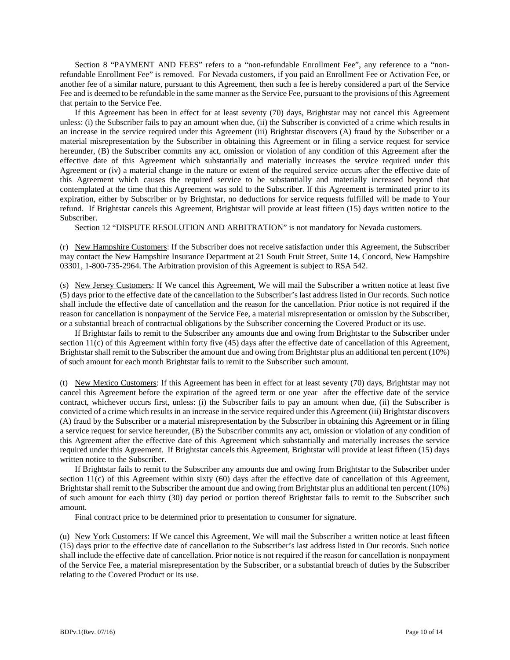Section 8 "PAYMENT AND FEES" refers to a "non-refundable Enrollment Fee", any reference to a "nonrefundable Enrollment Fee" is removed. For Nevada customers, if you paid an Enrollment Fee or Activation Fee, or another fee of a similar nature, pursuant to this Agreement, then such a fee is hereby considered a part of the Service Fee and is deemed to be refundable in the same manner as the Service Fee, pursuant to the provisions of this Agreement that pertain to the Service Fee.

If this Agreement has been in effect for at least seventy (70) days, Brightstar may not cancel this Agreement unless: (i) the Subscriber fails to pay an amount when due, (ii) the Subscriber is convicted of a crime which results in an increase in the service required under this Agreement (iii) Brightstar discovers (A) fraud by the Subscriber or a material misrepresentation by the Subscriber in obtaining this Agreement or in filing a service request for service hereunder, (B) the Subscriber commits any act, omission or violation of any condition of this Agreement after the effective date of this Agreement which substantially and materially increases the service required under this Agreement or (iv) a material change in the nature or extent of the required service occurs after the effective date of this Agreement which causes the required service to be substantially and materially increased beyond that contemplated at the time that this Agreement was sold to the Subscriber. If this Agreement is terminated prior to its expiration, either by Subscriber or by Brightstar, no deductions for service requests fulfilled will be made to Your refund. If Brightstar cancels this Agreement, Brightstar will provide at least fifteen (15) days written notice to the Subscriber.

Section 12 "DISPUTE RESOLUTION AND ARBITRATION" is not mandatory for Nevada customers.

(r) New Hampshire Customers: If the Subscriber does not receive satisfaction under this Agreement, the Subscriber may contact the New Hampshire Insurance Department at 21 South Fruit Street, Suite 14, Concord, New Hampshire 03301, 1-800-735-2964. The Arbitration provision of this Agreement is subject to RSA 542.

(s) New Jersey Customers: If We cancel this Agreement, We will mail the Subscriber a written notice at least five (5) days prior to the effective date of the cancellation to the Subscriber's last address listed in Our records. Such notice shall include the effective date of cancellation and the reason for the cancellation. Prior notice is not required if the reason for cancellation is nonpayment of the Service Fee, a material misrepresentation or omission by the Subscriber, or a substantial breach of contractual obligations by the Subscriber concerning the Covered Product or its use.

If Brightstar fails to remit to the Subscriber any amounts due and owing from Brightstar to the Subscriber under section 11(c) of this Agreement within forty five (45) days after the effective date of cancellation of this Agreement, Brightstar shall remit to the Subscriber the amount due and owing from Brightstar plus an additional ten percent (10%) of such amount for each month Brightstar fails to remit to the Subscriber such amount.

(t) New Mexico Customers: If this Agreement has been in effect for at least seventy (70) days, Brightstar may not cancel this Agreement before the expiration of the agreed term or one year after the effective date of the service contract, whichever occurs first, unless: (i) the Subscriber fails to pay an amount when due, (ii) the Subscriber is convicted of a crime which results in an increase in the service required under this Agreement (iii) Brightstar discovers (A) fraud by the Subscriber or a material misrepresentation by the Subscriber in obtaining this Agreement or in filing a service request for service hereunder, (B) the Subscriber commits any act, omission or violation of any condition of this Agreement after the effective date of this Agreement which substantially and materially increases the service required under this Agreement. If Brightstar cancels this Agreement, Brightstar will provide at least fifteen (15) days written notice to the Subscriber.

If Brightstar fails to remit to the Subscriber any amounts due and owing from Brightstar to the Subscriber under section 11(c) of this Agreement within sixty (60) days after the effective date of cancellation of this Agreement, Brightstar shall remit to the Subscriber the amount due and owing from Brightstar plus an additional ten percent (10%) of such amount for each thirty (30) day period or portion thereof Brightstar fails to remit to the Subscriber such amount.

Final contract price to be determined prior to presentation to consumer for signature.

(u) New York Customers: If We cancel this Agreement, We will mail the Subscriber a written notice at least fifteen (15) days prior to the effective date of cancellation to the Subscriber's last address listed in Our records. Such notice shall include the effective date of cancellation. Prior notice is not required if the reason for cancellation is nonpayment of the Service Fee, a material misrepresentation by the Subscriber, or a substantial breach of duties by the Subscriber relating to the Covered Product or its use.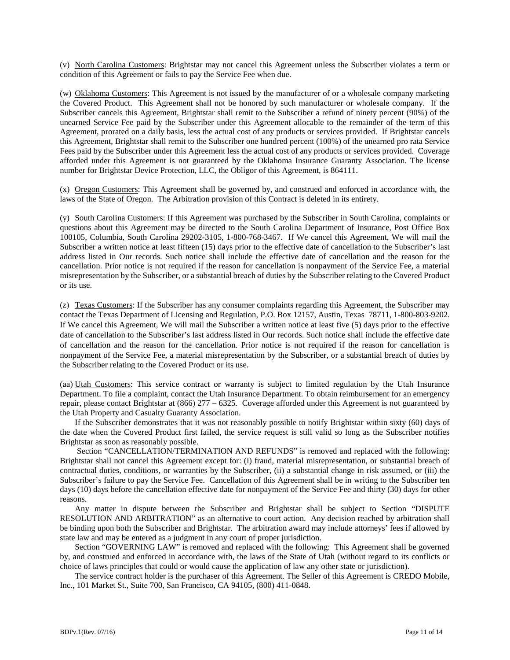(v) North Carolina Customers: Brightstar may not cancel this Agreement unless the Subscriber violates a term or condition of this Agreement or fails to pay the Service Fee when due.

(w) Oklahoma Customers: This Agreement is not issued by the manufacturer of or a wholesale company marketing the Covered Product. This Agreement shall not be honored by such manufacturer or wholesale company. If the Subscriber cancels this Agreement, Brightstar shall remit to the Subscriber a refund of ninety percent (90%) of the unearned Service Fee paid by the Subscriber under this Agreement allocable to the remainder of the term of this Agreement, prorated on a daily basis, less the actual cost of any products or services provided. If Brightstar cancels this Agreement, Brightstar shall remit to the Subscriber one hundred percent (100%) of the unearned pro rata Service Fees paid by the Subscriber under this Agreement less the actual cost of any products or services provided. Coverage afforded under this Agreement is not guaranteed by the Oklahoma Insurance Guaranty Association. The license number for Brightstar Device Protection, LLC, the Obligor of this Agreement, is 864111.

(x) Oregon Customers: This Agreement shall be governed by, and construed and enforced in accordance with, the laws of the State of Oregon. The Arbitration provision of this Contract is deleted in its entirety.

(y) South Carolina Customers: If this Agreement was purchased by the Subscriber in South Carolina, complaints or questions about this Agreement may be directed to the South Carolina Department of Insurance, Post Office Box 100105, Columbia, South Carolina 29202-3105, 1-800-768-3467. If We cancel this Agreement, We will mail the Subscriber a written notice at least fifteen (15) days prior to the effective date of cancellation to the Subscriber's last address listed in Our records. Such notice shall include the effective date of cancellation and the reason for the cancellation. Prior notice is not required if the reason for cancellation is nonpayment of the Service Fee, a material misrepresentation by the Subscriber, or a substantial breach of duties by the Subscriber relating to the Covered Product or its use.

(z) Texas Customers: If the Subscriber has any consumer complaints regarding this Agreement, the Subscriber may contact the Texas Department of Licensing and Regulation, P.O. Box 12157, Austin, Texas 78711, 1-800-803-9202. If We cancel this Agreement, We will mail the Subscriber a written notice at least five (5) days prior to the effective date of cancellation to the Subscriber's last address listed in Our records. Such notice shall include the effective date of cancellation and the reason for the cancellation. Prior notice is not required if the reason for cancellation is nonpayment of the Service Fee, a material misrepresentation by the Subscriber, or a substantial breach of duties by the Subscriber relating to the Covered Product or its use.

(aa) Utah Customers: This service contract or warranty is subject to limited regulation by the Utah Insurance Department. To file a complaint, contact the Utah Insurance Department. To obtain reimbursement for an emergency repair, please contact Brightstar at (866) 277 – 6325. Coverage afforded under this Agreement is not guaranteed by the Utah Property and Casualty Guaranty Association.

If the Subscriber demonstrates that it was not reasonably possible to notify Brightstar within sixty (60) days of the date when the Covered Product first failed, the service request is still valid so long as the Subscriber notifies Brightstar as soon as reasonably possible.

Section "CANCELLATION/TERMINATION AND REFUNDS" is removed and replaced with the following: Brightstar shall not cancel this Agreement except for: (i) fraud, material misrepresentation, or substantial breach of contractual duties, conditions, or warranties by the Subscriber, (ii) a substantial change in risk assumed, or (iii) the Subscriber's failure to pay the Service Fee. Cancellation of this Agreement shall be in writing to the Subscriber ten days (10) days before the cancellation effective date for nonpayment of the Service Fee and thirty (30) days for other reasons.

Any matter in dispute between the Subscriber and Brightstar shall be subject to Section "DISPUTE RESOLUTION AND ARBITRATION" as an alternative to court action. Any decision reached by arbitration shall be binding upon both the Subscriber and Brightstar. The arbitration award may include attorneys' fees if allowed by state law and may be entered as a judgment in any court of proper jurisdiction.

Section "GOVERNING LAW" is removed and replaced with the following: This Agreement shall be governed by, and construed and enforced in accordance with, the laws of the State of Utah (without regard to its conflicts or choice of laws principles that could or would cause the application of law any other state or jurisdiction).

The service contract holder is the purchaser of this Agreement. The Seller of this Agreement is CREDO Mobile, Inc., 101 Market St., Suite 700, San Francisco, CA 94105, (800) 411-0848.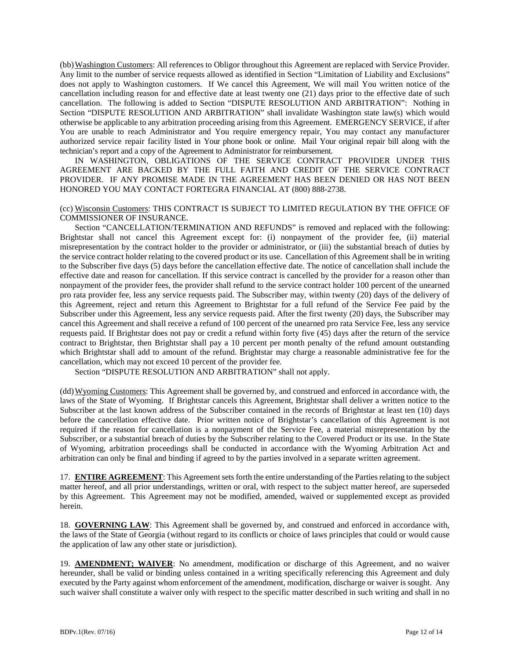(bb) Washington Customers: All references to Obligor throughout this Agreement are replaced with Service Provider. Any limit to the number of service requests allowed as identified in Section "Limitation of Liability and Exclusions" does not apply to Washington customers. If We cancel this Agreement, We will mail You written notice of the cancellation including reason for and effective date at least twenty one (21) days prior to the effective date of such cancellation. The following is added to Section "DISPUTE RESOLUTION AND ARBITRATION": Nothing in Section "DISPUTE RESOLUTION AND ARBITRATION" shall invalidate Washington state law(s) which would otherwise be applicable to any arbitration proceeding arising from this Agreement. EMERGENCY SERVICE, if after You are unable to reach Administrator and You require emergency repair, You may contact any manufacturer authorized service repair facility listed in Your phone book or online. Mail Your original repair bill along with the technician's report and a copy of the Agreement to Administrator for reimbursement.

IN WASHINGTON, OBLIGATIONS OF THE SERVICE CONTRACT PROVIDER UNDER THIS AGREEMENT ARE BACKED BY THE FULL FAITH AND CREDIT OF THE SERVICE CONTRACT PROVIDER. IF ANY PROMISE MADE IN THE AGREEMENT HAS BEEN DENIED OR HAS NOT BEEN HONORED YOU MAY CONTACT FORTEGRA FINANCIAL AT (800) 888-2738.

### (cc) Wisconsin Customers: THIS CONTRACT IS SUBJECT TO LIMITED REGULATION BY THE OFFICE OF COMMISSIONER OF INSURANCE.

Section "CANCELLATION/TERMINATION AND REFUNDS" is removed and replaced with the following: Brightstar shall not cancel this Agreement except for: (i) nonpayment of the provider fee, (ii) material misrepresentation by the contract holder to the provider or administrator, or (iii) the substantial breach of duties by the service contract holder relating to the covered product or its use. Cancellation of this Agreement shall be in writing to the Subscriber five days (5) days before the cancellation effective date. The notice of cancellation shall include the effective date and reason for cancellation. If this service contract is cancelled by the provider for a reason other than nonpayment of the provider fees, the provider shall refund to the service contract holder 100 percent of the unearned pro rata provider fee, less any service requests paid. The Subscriber may, within twenty (20) days of the delivery of this Agreement, reject and return this Agreement to Brightstar for a full refund of the Service Fee paid by the Subscriber under this Agreement, less any service requests paid. After the first twenty (20) days, the Subscriber may cancel this Agreement and shall receive a refund of 100 percent of the unearned pro rata Service Fee, less any service requests paid. If Brightstar does not pay or credit a refund within forty five (45) days after the return of the service contract to Brightstar, then Brightstar shall pay a 10 percent per month penalty of the refund amount outstanding which Brightstar shall add to amount of the refund. Brightstar may charge a reasonable administrative fee for the cancellation, which may not exceed 10 percent of the provider fee.

Section "DISPUTE RESOLUTION AND ARBITRATION" shall not apply.

(dd)Wyoming Customers: This Agreement shall be governed by, and construed and enforced in accordance with, the laws of the State of Wyoming. If Brightstar cancels this Agreement, Brightstar shall deliver a written notice to the Subscriber at the last known address of the Subscriber contained in the records of Brightstar at least ten (10) days before the cancellation effective date. Prior written notice of Brightstar's cancellation of this Agreement is not required if the reason for cancellation is a nonpayment of the Service Fee, a material misrepresentation by the Subscriber, or a substantial breach of duties by the Subscriber relating to the Covered Product or its use. In the State of Wyoming, arbitration proceedings shall be conducted in accordance with the Wyoming Arbitration Act and arbitration can only be final and binding if agreed to by the parties involved in a separate written agreement.

17. **ENTIRE AGREEMENT**: This Agreement sets forth the entire understanding of the Parties relating to the subject matter hereof, and all prior understandings, written or oral, with respect to the subject matter hereof, are superseded by this Agreement. This Agreement may not be modified, amended, waived or supplemented except as provided herein.

18. **GOVERNING LAW**: This Agreement shall be governed by, and construed and enforced in accordance with, the laws of the State of Georgia (without regard to its conflicts or choice of laws principles that could or would cause the application of law any other state or jurisdiction).

19. **AMENDMENT; WAIVER**: No amendment, modification or discharge of this Agreement, and no waiver hereunder, shall be valid or binding unless contained in a writing specifically referencing this Agreement and duly executed by the Party against whom enforcement of the amendment, modification, discharge or waiver is sought. Any such waiver shall constitute a waiver only with respect to the specific matter described in such writing and shall in no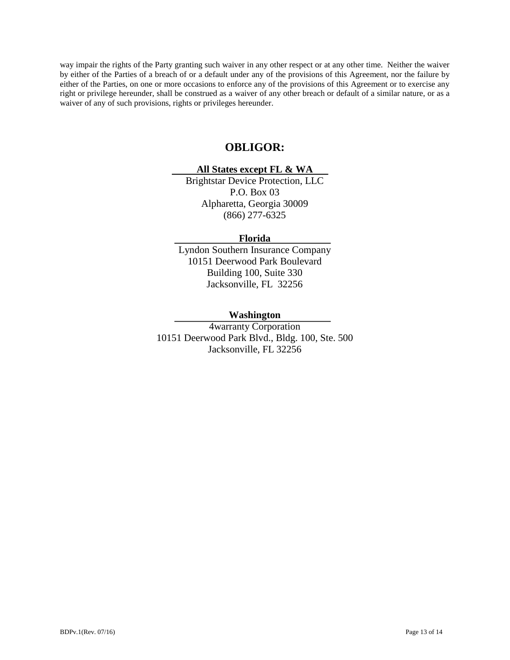way impair the rights of the Party granting such waiver in any other respect or at any other time. Neither the waiver by either of the Parties of a breach of or a default under any of the provisions of this Agreement, nor the failure by either of the Parties, on one or more occasions to enforce any of the provisions of this Agreement or to exercise any right or privilege hereunder, shall be construed as a waiver of any other breach or default of a similar nature, or as a waiver of any of such provisions, rights or privileges hereunder.

# **OBLIGOR:**

# **All States except FL & WA**

Brightstar Device Protection, LLC P.O. Box 03 Alpharetta, Georgia 30009 (866) 277-6325

# **Florida**

Lyndon Southern Insurance Company 10151 Deerwood Park Boulevard Building 100, Suite 330 Jacksonville, FL 32256

# **Washington**

4warranty Corporation 10151 Deerwood Park Blvd., Bldg. 100, Ste. 500 Jacksonville, FL 32256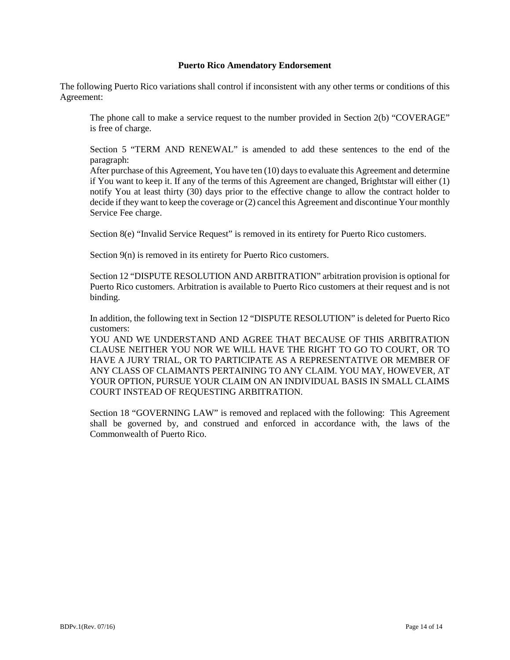### **Puerto Rico Amendatory Endorsement**

The following Puerto Rico variations shall control if inconsistent with any other terms or conditions of this Agreement:

The phone call to make a service request to the number provided in Section 2(b) "COVERAGE" is free of charge.

Section 5 "TERM AND RENEWAL" is amended to add these sentences to the end of the paragraph:

After purchase of this Agreement, You have ten (10) days to evaluate this Agreement and determine if You want to keep it. If any of the terms of this Agreement are changed, Brightstar will either (1) notify You at least thirty (30) days prior to the effective change to allow the contract holder to decide if they want to keep the coverage or (2) cancel this Agreement and discontinue Your monthly Service Fee charge.

Section 8(e) "Invalid Service Request" is removed in its entirety for Puerto Rico customers.

Section 9(n) is removed in its entirety for Puerto Rico customers.

Section 12 "DISPUTE RESOLUTION AND ARBITRATION" arbitration provision is optional for Puerto Rico customers. Arbitration is available to Puerto Rico customers at their request and is not binding.

In addition, the following text in Section 12 "DISPUTE RESOLUTION" is deleted for Puerto Rico customers:

YOU AND WE UNDERSTAND AND AGREE THAT BECAUSE OF THIS ARBITRATION CLAUSE NEITHER YOU NOR WE WILL HAVE THE RIGHT TO GO TO COURT, OR TO HAVE A JURY TRIAL, OR TO PARTICIPATE AS A REPRESENTATIVE OR MEMBER OF ANY CLASS OF CLAIMANTS PERTAINING TO ANY CLAIM. YOU MAY, HOWEVER, AT YOUR OPTION, PURSUE YOUR CLAIM ON AN INDIVIDUAL BASIS IN SMALL CLAIMS COURT INSTEAD OF REQUESTING ARBITRATION.

Section 18 "GOVERNING LAW" is removed and replaced with the following: This Agreement shall be governed by, and construed and enforced in accordance with, the laws of the Commonwealth of Puerto Rico.